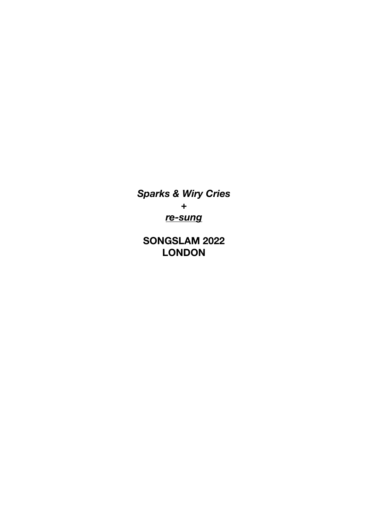*Sparks & Wiry Cries + re-sung* 

**SONGSLAM 2022 LONDON**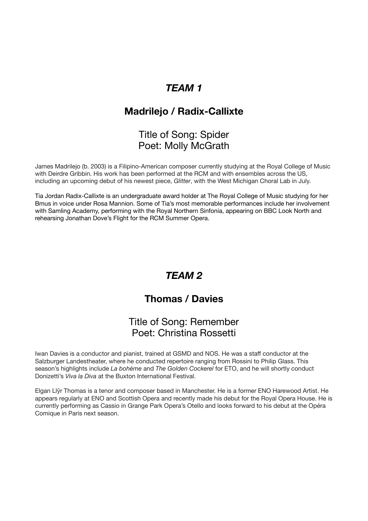# *TEAM 1*

## **Madrilejo / Radix-Callixte**

### Title of Song: Spider Poet: Molly McGrath

James Madrilejo (b. 2003) is a Filipino-American composer currently studying at the Royal College of Music with Deirdre Gribbin. His work has been performed at the RCM and with ensembles across the US, including an upcoming debut of his newest piece, *Glitter*, with the West Michigan Choral Lab in July.

Tia Jordan Radix-Callixte is an undergraduate award holder at The Royal College of Music studying for her Bmus in voice under Rosa Mannion. Some of Tia's most memorable performances include her involvement with Samling Academy, performing with the Royal Northern Sinfonia, appearing on BBC Look North and rehearsing Jonathan Dove's Flight for the RCM Summer Opera.

# *TEAM 2*

## **Thomas / Davies**

### Title of Song: Remember Poet: Christina Rossetti

Iwan Davies is a conductor and pianist, trained at GSMD and NOS. He was a staff conductor at the Salzburger Landestheater, where he conducted repertoire ranging from Rossini to Philip Glass. This season's highlights include *La bohème* and *The Golden Cockerel* for ETO, and he will shortly conduct Donizetti's *Viva la Diva* at the Buxton International Festival.

Elgan Llŷr Thomas is a tenor and composer based in Manchester. He is a former ENO Harewood Artist. He appears regularly at ENO and Scottish Opera and recently made his debut for the Royal Opera House. He is currently performing as Cassio in Grange Park Opera's Otello and looks forward to his debut at the Opéra Comique in Paris next season.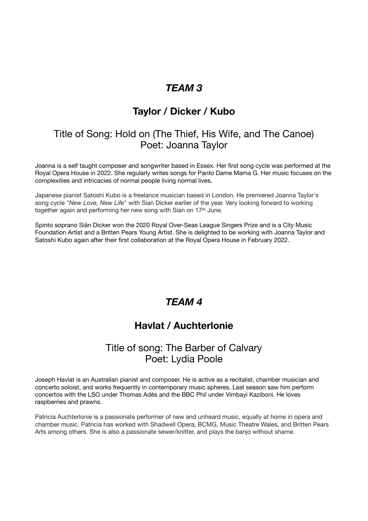## *TEAM 3*

# **Taylor / Dicker / Kubo**

### Title of Song: Hold on (The Thief, His Wife, and The Canoe) Poet: Joanna Taylor

Joanna is a self taught composer and songwriter based in Essex. Her first song cycle was performed at the Royal Opera House in 2022. She regularly writes songs for Panto Dame Mama G. Her music focuses on the complexities and intricacies of normal people living normal lives.

Japanese pianist Satoshi Kubo is a freelance musician based in London. He premiered Joanna Taylor's song cycle "*New Love, New Life*" with Sian Dicker earlier of the year. Very looking forward to working together again and performing her new song with Sian on 17th June.

Spinto soprano Siân Dicker won the 2020 Royal Over-Seas League Singers Prize and is a City Music Foundation Artist and a Britten Pears Young Artist. She is delighted to be working with Joanna Taylor and Satoshi Kubo again after their first collaboration at the Royal Opera House in February 2022.

### *TEAM 4*

## **Havlat / Auchterlonie**

### Title of song: The Barber of Calvary Poet: Lydia Poole

Joseph Havlat is an Australian pianist and composer. He is active as a recitalist, chamber musician and concerto soloist, and works frequently in contemporary music spheres. Last season saw him perform concertos with the LSO under Thomas Adès and the BBC Phil under Vimbayi Kaziboni. He loves raspberries and prawns.

Patricia Auchterlonie is a passionate performer of new and unheard music, equally at home in opera and chamber music. Patricia has worked with Shadwell Opera, BCMG, Music Theatre Wales, and Britten Pears Arts among others. She is also a passionate sewer/knitter, and plays the banjo without shame.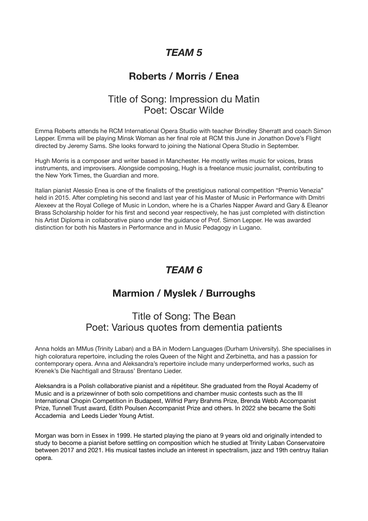# *TEAM 5*

# **Roberts / Morris / Enea**

### Title of Song: Impression du Matin Poet: Oscar Wilde

Emma Roberts attends he RCM International Opera Studio with teacher Brindley Sherratt and coach Simon Lepper. Emma will be playing Minsk Woman as her final role at RCM this June in Jonathon Dove's Flight directed by Jeremy Sams. She looks forward to joining the National Opera Studio in September.

Hugh Morris is a composer and writer based in Manchester. He mostly writes music for voices, brass instruments, and improvisers. Alongside composing, Hugh is a freelance music journalist, contributing to the New York Times, the Guardian and more.

Italian pianist Alessio Enea is one of the finalists of the prestigious national competition "Premio Venezia" held in 2015. After completing his second and last year of his Master of Music in Performance with Dmitri Alexeev at the Royal College of Music in London, where he is a Charles Napper Award and Gary & Eleanor Brass Scholarship holder for his first and second year respectively, he has just completed with distinction his Artist Diploma in collaborative piano under the guidance of Prof. Simon Lepper. He was awarded distinction for both his Masters in Performance and in Music Pedagogy in Lugano.

## *TEAM 6*

## **Marmion / Myslek / Burroughs**

### Title of Song: The Bean Poet: Various quotes from dementia patients

Anna holds an MMus (Trinity Laban) and a BA in Modern Languages (Durham University). She specialises in high coloratura repertoire, including the roles Queen of the Night and Zerbinetta, and has a passion for contemporary opera. Anna and Aleksandra's repertoire include many underperformed works, such as Krenek's Die Nachtigall and Strauss' Brentano Lieder.

Aleksandra is a Polish collaborative pianist and a répétiteur. She graduated from the Royal Academy of Music and is a prizewinner of both solo competitions and chamber music contests such as the III International Chopin Competition in Budapest, Wilfrid Parry Brahms Prize, Brenda Webb Accompanist Prize, Tunnell Trust award, Edith Poulsen Accompanist Prize and others. In 2022 she became the Solti Accademia and Leeds Lieder Young Artist.

Morgan was born in Essex in 1999. He started playing the piano at 9 years old and originally intended to study to become a pianist before settling on composition which he studied at Trinity Laban Conservatoire between 2017 and 2021. His musical tastes include an interest in spectralism, jazz and 19th centruy Italian opera.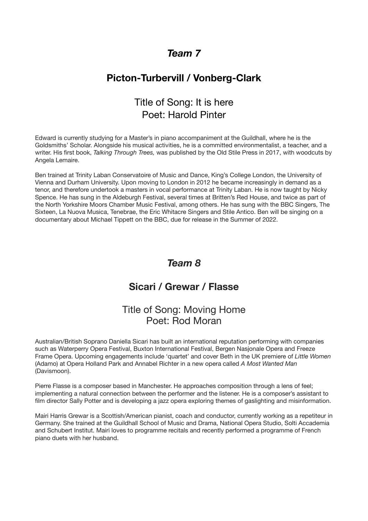### *Team 7*

# **Picton-Turbervill / Vonberg-Clark**

# Title of Song: It is here Poet: Harold Pinter

Edward is currently studying for a Master's in piano accompaniment at the Guildhall, where he is the Goldsmiths' Scholar. Alongside his musical activities, he is a committed environmentalist, a teacher, and a writer. His first book, *Talking Through Trees,* was published by the Old Stile Press in 2017, with woodcuts by Angela Lemaire.

Ben trained at Trinity Laban Conservatoire of Music and Dance, King's College London, the University of Vienna and Durham University. Upon moving to London in 2012 he became increasingly in demand as a tenor, and therefore undertook a masters in vocal performance at Trinity Laban. He is now taught by Nicky Spence. He has sung in the Aldeburgh Festival, several times at Britten's Red House, and twice as part of the North Yorkshire Moors Chamber Music Festival, among others. He has sung with the BBC Singers, The Sixteen, La Nuova Musica, Tenebrae, the Eric Whitacre Singers and Stile Antico. Ben will be singing on a documentary about Michael Tippett on the BBC, due for release in the Summer of 2022.

### *Team 8*

### **Sicari / Grewar / Flasse**

### Title of Song: Moving Home Poet: Rod Moran

Australian/British Soprano Daniella Sicari has built an international reputation performing with companies such as Waterperry Opera Festival, Buxton International Festival, Bergen Nasjonale Opera and Freeze Frame Opera. Upcoming engagements include 'quartet' and cover Beth in the UK premiere of *Little Women*  (Adamo) at Opera Holland Park and Annabel Richter in a new opera called *A Most Wanted Man* (Davismoon).

Pierre Flasse is a composer based in Manchester. He approaches composition through a lens of feel; implementing a natural connection between the performer and the listener. He is a composer's assistant to film director Sally Potter and is developing a jazz opera exploring themes of gaslighting and misinformation.

Mairi Harris Grewar is a Scottish/American pianist, coach and conductor, currently working as a repetiteur in Germany. She trained at the Guildhall School of Music and Drama, National Opera Studio, Solti Accademia and Schubert Institut. Mairi loves to programme recitals and recently performed a programme of French piano duets with her husband.